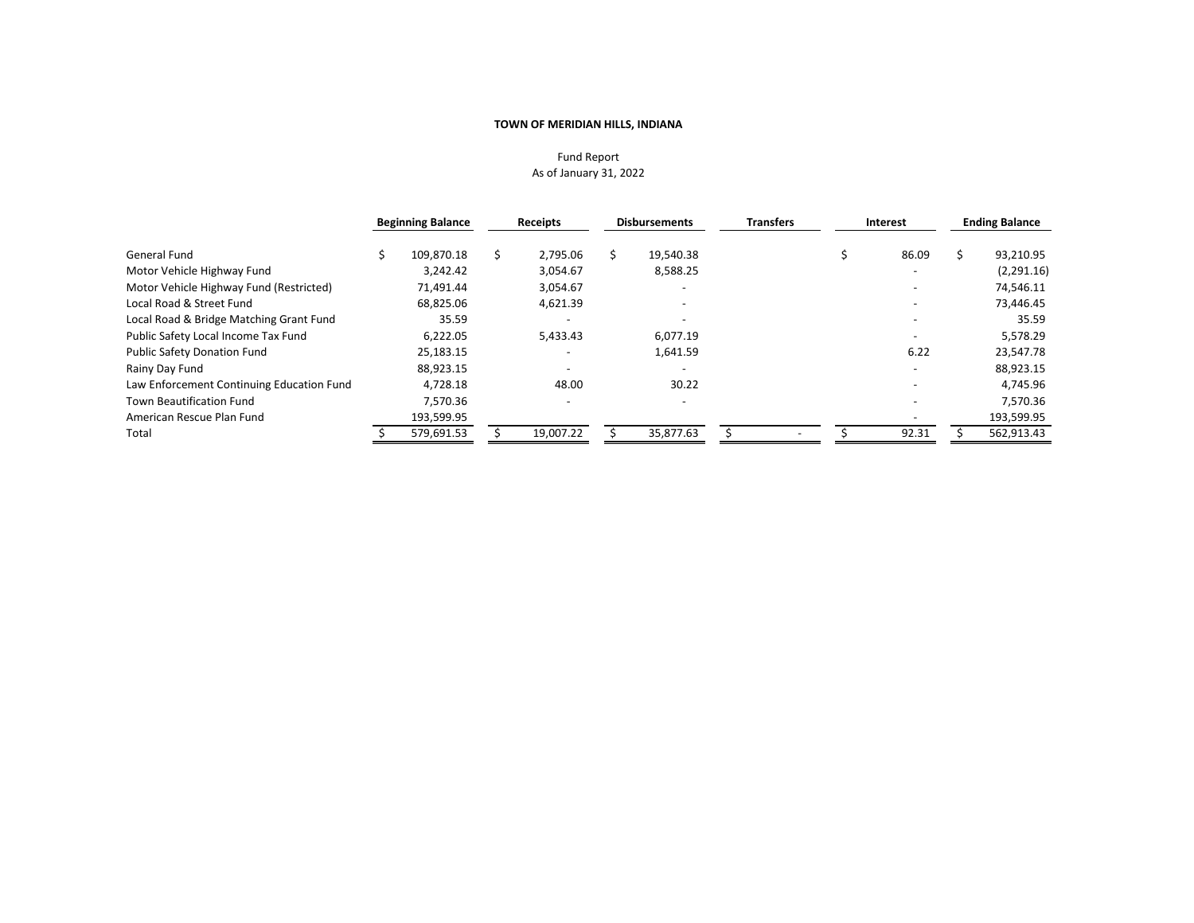## Fund Report As of January 31, 2022

|                                           | <b>Beginning Balance</b> | Receipts  | <b>Disbursements</b> |           | <b>Transfers</b> | Interest                 |  | <b>Ending Balance</b> |  |
|-------------------------------------------|--------------------------|-----------|----------------------|-----------|------------------|--------------------------|--|-----------------------|--|
| General Fund                              | 109.870.18               | 2,795.06  |                      | 19,540.38 |                  | 86.09                    |  | 93,210.95             |  |
| Motor Vehicle Highway Fund                | 3.242.42                 | 3,054.67  |                      | 8,588.25  |                  |                          |  | (2,291.16)            |  |
| Motor Vehicle Highway Fund (Restricted)   | 71,491.44                | 3,054.67  |                      |           |                  |                          |  | 74,546.11             |  |
| Local Road & Street Fund                  | 68.825.06                | 4,621.39  |                      |           |                  |                          |  | 73,446.45             |  |
| Local Road & Bridge Matching Grant Fund   | 35.59                    |           |                      |           |                  |                          |  | 35.59                 |  |
| Public Safety Local Income Tax Fund       | 6,222.05                 | 5,433.43  |                      | 6.077.19  |                  |                          |  | 5,578.29              |  |
| <b>Public Safety Donation Fund</b>        | 25,183.15                |           |                      | 1,641.59  |                  | 6.22                     |  | 23,547.78             |  |
| Rainy Day Fund                            | 88,923.15                |           |                      |           |                  |                          |  | 88,923.15             |  |
| Law Enforcement Continuing Education Fund | 4,728.18                 | 48.00     |                      | 30.22     |                  | $\overline{\phantom{a}}$ |  | 4,745.96              |  |
| <b>Town Beautification Fund</b>           | 7,570.36                 |           |                      |           |                  |                          |  | 7,570.36              |  |
| American Rescue Plan Fund                 | 193,599.95               |           |                      |           |                  |                          |  | 193,599.95            |  |
| Total                                     | 579,691.53               | 19,007.22 |                      | 35,877.63 |                  | 92.31                    |  | 562,913.43            |  |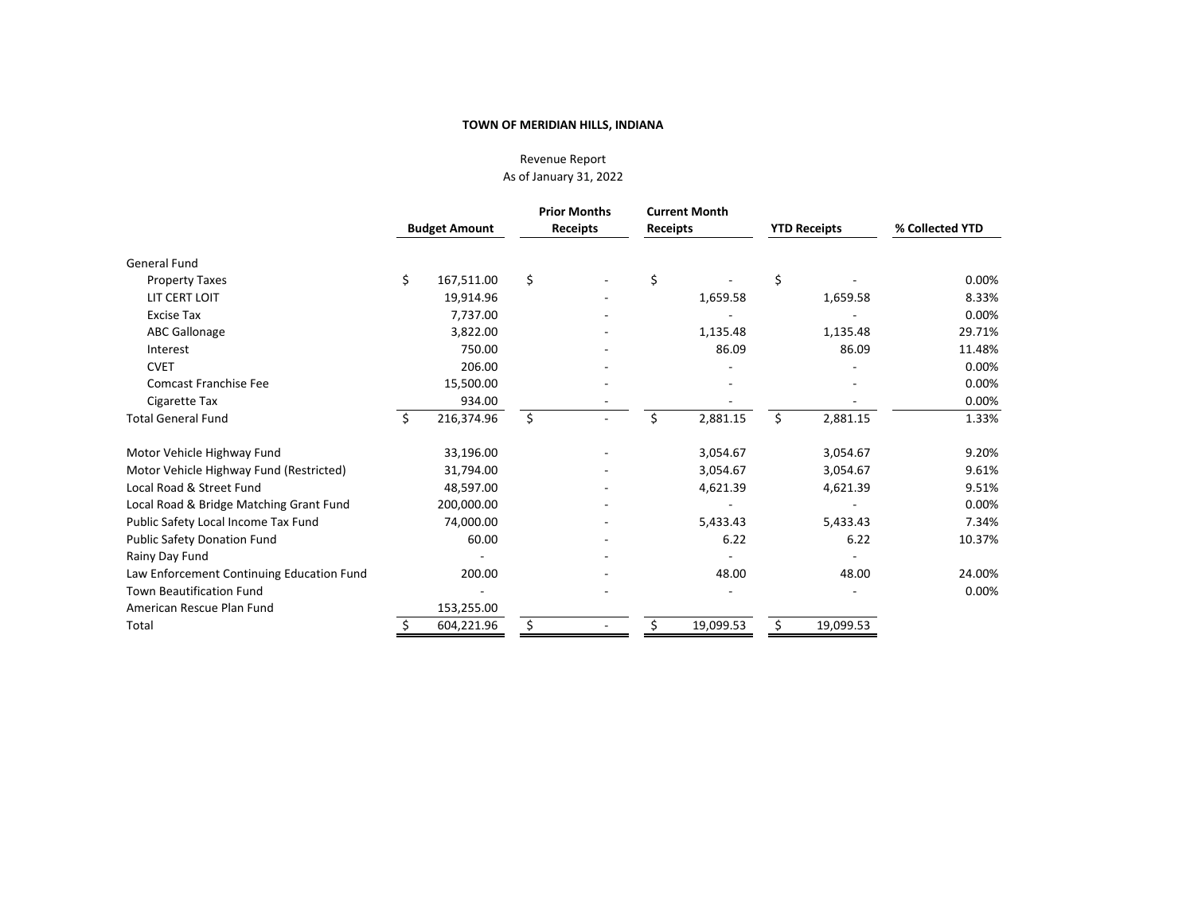# Revenue Report As of January 31, 2022

|                                           | <b>Budget Amount</b> |            | <b>Prior Months</b><br><b>Receipts</b> |  | <b>Receipts</b> | <b>Current Month</b> |    | <b>YTD Receipts</b> | % Collected YTD |
|-------------------------------------------|----------------------|------------|----------------------------------------|--|-----------------|----------------------|----|---------------------|-----------------|
| <b>General Fund</b>                       |                      |            |                                        |  |                 |                      |    |                     |                 |
| <b>Property Taxes</b>                     | \$                   | 167,511.00 | \$                                     |  | \$              |                      | \$ |                     | 0.00%           |
| LIT CERT LOIT                             |                      | 19,914.96  |                                        |  |                 | 1,659.58             |    | 1,659.58            | 8.33%           |
| <b>Excise Tax</b>                         |                      | 7,737.00   |                                        |  |                 |                      |    |                     | 0.00%           |
| <b>ABC Gallonage</b>                      |                      | 3,822.00   |                                        |  |                 | 1,135.48             |    | 1,135.48            | 29.71%          |
| Interest                                  |                      | 750.00     |                                        |  |                 | 86.09                |    | 86.09               | 11.48%          |
| <b>CVET</b>                               |                      | 206.00     |                                        |  |                 |                      |    |                     | 0.00%           |
| <b>Comcast Franchise Fee</b>              |                      | 15,500.00  |                                        |  |                 |                      |    |                     | 0.00%           |
| Cigarette Tax                             |                      | 934.00     |                                        |  |                 |                      |    |                     | 0.00%           |
| <b>Total General Fund</b>                 | Ś                    | 216,374.96 | \$                                     |  |                 | 2,881.15             | Ś  | 2,881.15            | 1.33%           |
| Motor Vehicle Highway Fund                |                      | 33,196.00  |                                        |  |                 | 3,054.67             |    | 3,054.67            | 9.20%           |
| Motor Vehicle Highway Fund (Restricted)   |                      | 31,794.00  |                                        |  |                 | 3,054.67             |    | 3,054.67            | 9.61%           |
| Local Road & Street Fund                  |                      | 48,597.00  |                                        |  |                 | 4,621.39             |    | 4,621.39            | 9.51%           |
| Local Road & Bridge Matching Grant Fund   |                      | 200,000.00 |                                        |  |                 |                      |    |                     | 0.00%           |
| Public Safety Local Income Tax Fund       |                      | 74,000.00  |                                        |  |                 | 5,433.43             |    | 5,433.43            | 7.34%           |
| <b>Public Safety Donation Fund</b>        |                      | 60.00      |                                        |  |                 | 6.22                 |    | 6.22                | 10.37%          |
| Rainy Day Fund                            |                      |            |                                        |  |                 |                      |    |                     |                 |
| Law Enforcement Continuing Education Fund |                      | 200.00     |                                        |  |                 | 48.00                |    | 48.00               | 24.00%          |
| <b>Town Beautification Fund</b>           |                      |            |                                        |  |                 |                      |    |                     | 0.00%           |
| American Rescue Plan Fund                 |                      | 153,255.00 |                                        |  |                 |                      |    |                     |                 |
| Total                                     |                      | 604,221.96 | Ś                                      |  |                 | 19,099.53            | Ŝ. | 19,099.53           |                 |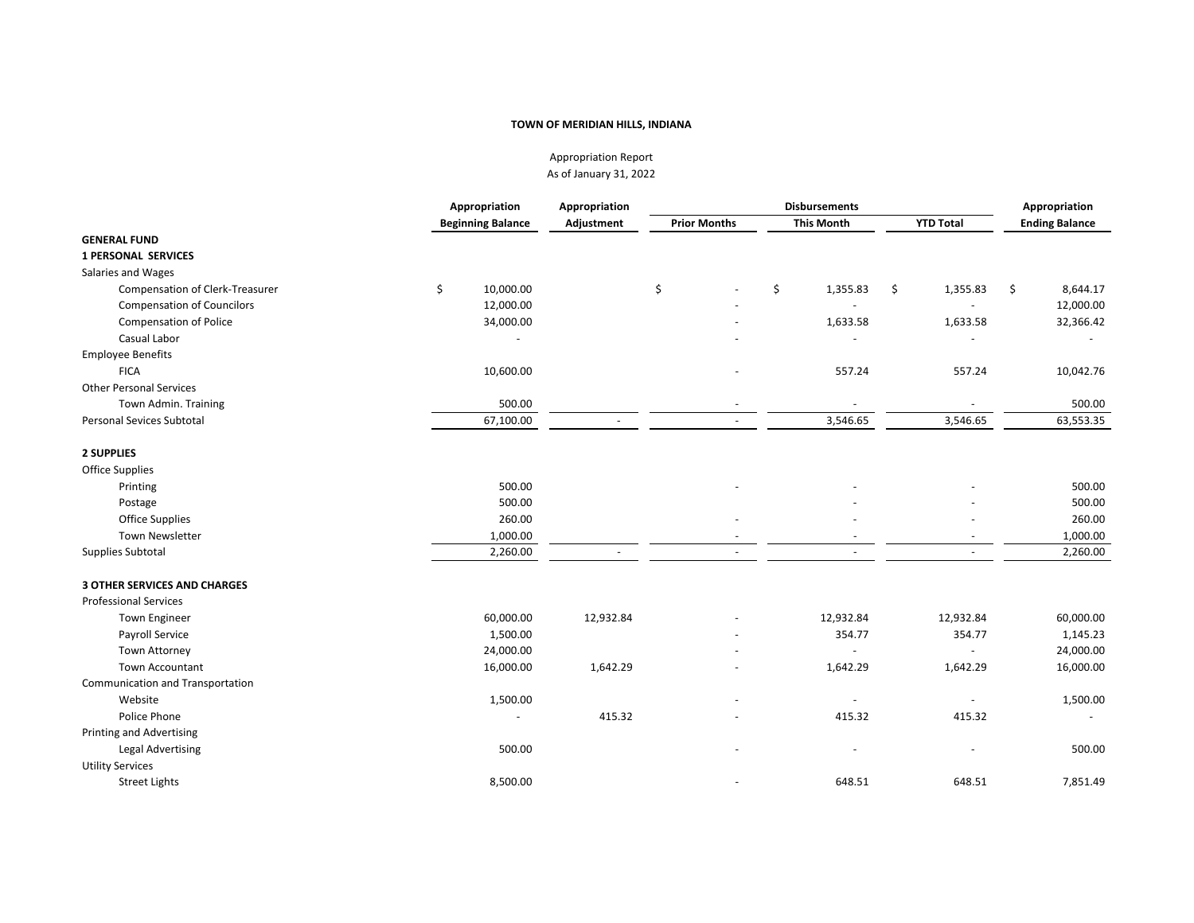Appropriation Report As of January 31, 2022

|                                     | Appropriation            | Appropriation | <b>Disbursements</b> |                     |    |                   |    |                  |    | Appropriation         |  |  |
|-------------------------------------|--------------------------|---------------|----------------------|---------------------|----|-------------------|----|------------------|----|-----------------------|--|--|
|                                     | <b>Beginning Balance</b> | Adjustment    |                      | <b>Prior Months</b> |    | <b>This Month</b> |    | <b>YTD Total</b> |    | <b>Ending Balance</b> |  |  |
| <b>GENERAL FUND</b>                 |                          |               |                      |                     |    |                   |    |                  |    |                       |  |  |
| <b>1 PERSONAL SERVICES</b>          |                          |               |                      |                     |    |                   |    |                  |    |                       |  |  |
| Salaries and Wages                  |                          |               |                      |                     |    |                   |    |                  |    |                       |  |  |
| Compensation of Clerk-Treasurer     | \$<br>10,000.00          |               | \$                   |                     | \$ | 1,355.83          | \$ | 1,355.83         | \$ | 8,644.17              |  |  |
| <b>Compensation of Councilors</b>   | 12,000.00                |               |                      |                     |    |                   |    |                  |    | 12,000.00             |  |  |
| <b>Compensation of Police</b>       | 34,000.00                |               |                      |                     |    | 1,633.58          |    | 1,633.58         |    | 32,366.42             |  |  |
| Casual Labor                        |                          |               |                      |                     |    |                   |    |                  |    |                       |  |  |
| <b>Employee Benefits</b>            |                          |               |                      |                     |    |                   |    |                  |    |                       |  |  |
| <b>FICA</b>                         | 10,600.00                |               |                      |                     |    | 557.24            |    | 557.24           |    | 10,042.76             |  |  |
| <b>Other Personal Services</b>      |                          |               |                      |                     |    |                   |    |                  |    |                       |  |  |
| Town Admin. Training                | 500.00                   |               |                      |                     |    |                   |    |                  |    | 500.00                |  |  |
| <b>Personal Sevices Subtotal</b>    | 67,100.00                |               |                      |                     |    | 3,546.65          |    | 3,546.65         |    | 63,553.35             |  |  |
| <b>2 SUPPLIES</b>                   |                          |               |                      |                     |    |                   |    |                  |    |                       |  |  |
| Office Supplies                     |                          |               |                      |                     |    |                   |    |                  |    |                       |  |  |
| Printing                            | 500.00                   |               |                      |                     |    |                   |    |                  |    | 500.00                |  |  |
| Postage                             | 500.00                   |               |                      |                     |    |                   |    |                  |    | 500.00                |  |  |
| <b>Office Supplies</b>              | 260.00                   |               |                      |                     |    |                   |    |                  |    | 260.00                |  |  |
| <b>Town Newsletter</b>              | 1,000.00                 |               |                      |                     |    |                   |    |                  |    | 1,000.00              |  |  |
| Supplies Subtotal                   | 2,260.00                 |               |                      |                     |    |                   |    |                  |    | 2,260.00              |  |  |
| <b>3 OTHER SERVICES AND CHARGES</b> |                          |               |                      |                     |    |                   |    |                  |    |                       |  |  |
| <b>Professional Services</b>        |                          |               |                      |                     |    |                   |    |                  |    |                       |  |  |
| <b>Town Engineer</b>                | 60,000.00                | 12,932.84     |                      |                     |    | 12,932.84         |    | 12,932.84        |    | 60,000.00             |  |  |
| Payroll Service                     | 1,500.00                 |               |                      |                     |    | 354.77            |    | 354.77           |    | 1,145.23              |  |  |
| Town Attorney                       | 24,000.00                |               |                      |                     |    |                   |    |                  |    | 24,000.00             |  |  |
| <b>Town Accountant</b>              | 16,000.00                | 1,642.29      |                      |                     |    | 1,642.29          |    | 1,642.29         |    | 16,000.00             |  |  |
| Communication and Transportation    |                          |               |                      |                     |    |                   |    |                  |    |                       |  |  |
| Website                             | 1,500.00                 |               |                      |                     |    |                   |    |                  |    | 1,500.00              |  |  |
| Police Phone                        |                          | 415.32        |                      |                     |    | 415.32            |    | 415.32           |    |                       |  |  |
| <b>Printing and Advertising</b>     |                          |               |                      |                     |    |                   |    |                  |    |                       |  |  |
| <b>Legal Advertising</b>            | 500.00                   |               |                      |                     |    |                   |    |                  |    | 500.00                |  |  |
| <b>Utility Services</b>             |                          |               |                      |                     |    |                   |    |                  |    |                       |  |  |
| <b>Street Lights</b>                | 8,500.00                 |               |                      |                     |    | 648.51            |    | 648.51           |    | 7,851.49              |  |  |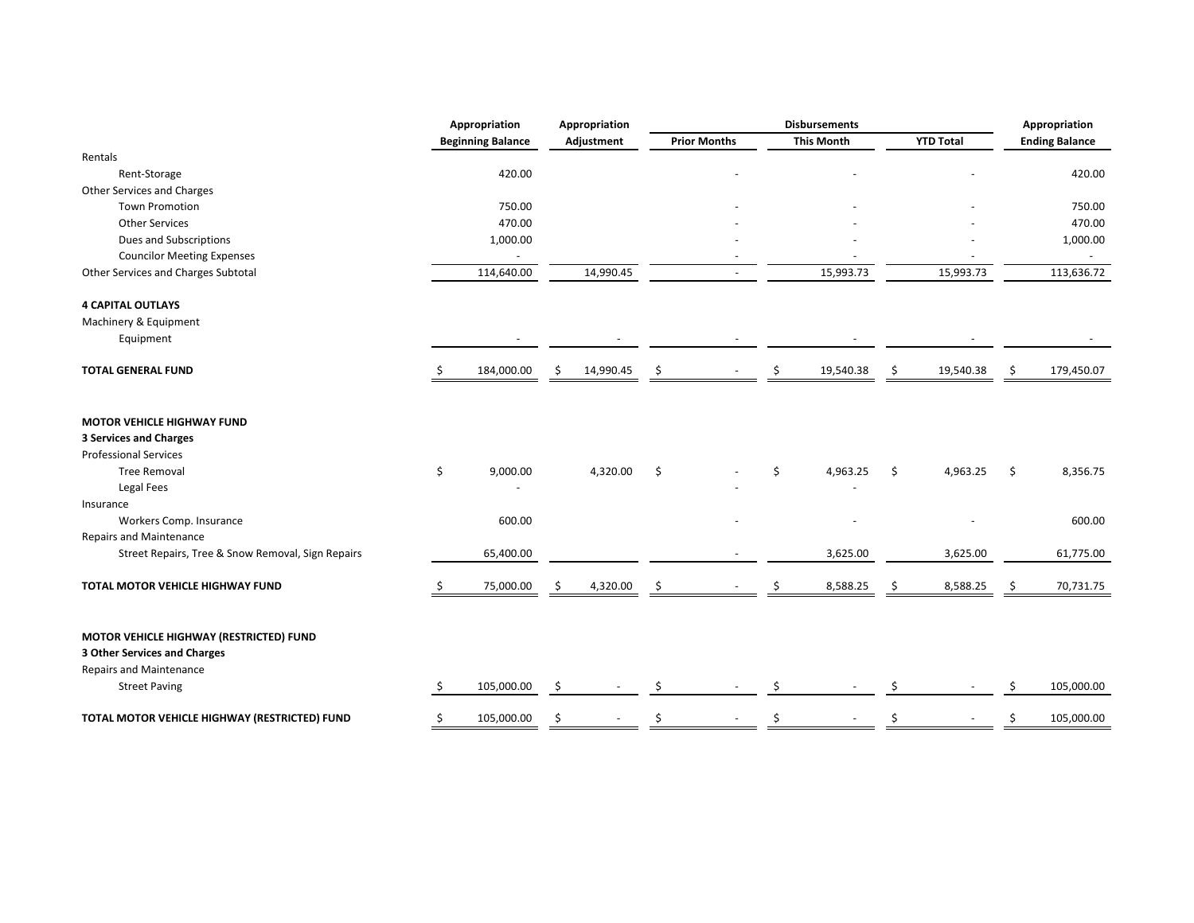|                                                                                                           |    | Appropriation            |    | Appropriation | <b>Disbursements</b> |                     | Appropriation |                   |     |                  |    |                       |
|-----------------------------------------------------------------------------------------------------------|----|--------------------------|----|---------------|----------------------|---------------------|---------------|-------------------|-----|------------------|----|-----------------------|
|                                                                                                           |    | <b>Beginning Balance</b> |    | Adjustment    |                      | <b>Prior Months</b> |               | <b>This Month</b> |     | <b>YTD Total</b> |    | <b>Ending Balance</b> |
| Rentals                                                                                                   |    |                          |    |               |                      |                     |               |                   |     |                  |    |                       |
| Rent-Storage                                                                                              |    | 420.00                   |    |               |                      |                     |               |                   |     |                  |    | 420.00                |
| Other Services and Charges                                                                                |    |                          |    |               |                      |                     |               |                   |     |                  |    |                       |
| <b>Town Promotion</b>                                                                                     |    | 750.00                   |    |               |                      |                     |               |                   |     |                  |    | 750.00                |
| <b>Other Services</b>                                                                                     |    | 470.00                   |    |               |                      |                     |               |                   |     |                  |    | 470.00                |
| Dues and Subscriptions                                                                                    |    | 1,000.00                 |    |               |                      |                     |               |                   |     |                  |    | 1,000.00              |
| <b>Councilor Meeting Expenses</b>                                                                         |    |                          |    |               |                      |                     |               |                   |     |                  |    |                       |
| Other Services and Charges Subtotal                                                                       |    | 114,640.00               |    | 14,990.45     |                      |                     |               | 15,993.73         |     | 15,993.73        |    | 113,636.72            |
| <b>4 CAPITAL OUTLAYS</b>                                                                                  |    |                          |    |               |                      |                     |               |                   |     |                  |    |                       |
| Machinery & Equipment                                                                                     |    |                          |    |               |                      |                     |               |                   |     |                  |    |                       |
| Equipment                                                                                                 |    |                          |    |               |                      |                     |               |                   |     |                  |    |                       |
| <b>TOTAL GENERAL FUND</b>                                                                                 |    | 184,000.00               | \$ | 14,990.45     | \$                   |                     | Ś.            | 19,540.38         | \$  | 19,540.38        | \$ | 179,450.07            |
| <b>MOTOR VEHICLE HIGHWAY FUND</b><br><b>3 Services and Charges</b><br><b>Professional Services</b>        |    |                          |    |               |                      |                     |               |                   |     |                  |    |                       |
| <b>Tree Removal</b>                                                                                       | \$ | 9,000.00                 |    | 4,320.00      | \$                   |                     | \$            | 4,963.25          | \$  | 4,963.25         | \$ | 8,356.75              |
| Legal Fees                                                                                                |    |                          |    |               |                      |                     |               |                   |     |                  |    |                       |
| Insurance                                                                                                 |    |                          |    |               |                      |                     |               |                   |     |                  |    |                       |
| Workers Comp. Insurance                                                                                   |    | 600.00                   |    |               |                      |                     |               |                   |     |                  |    | 600.00                |
| <b>Repairs and Maintenance</b>                                                                            |    |                          |    |               |                      |                     |               |                   |     |                  |    |                       |
| Street Repairs, Tree & Snow Removal, Sign Repairs                                                         |    | 65,400.00                |    |               |                      |                     |               | 3,625.00          |     | 3,625.00         |    | 61,775.00             |
| TOTAL MOTOR VEHICLE HIGHWAY FUND                                                                          |    | 75,000.00                |    | 4,320.00      | \$                   |                     |               | 8,588.25          | \$. | 8,588.25         | Ŝ  | 70,731.75             |
| MOTOR VEHICLE HIGHWAY (RESTRICTED) FUND<br>3 Other Services and Charges<br><b>Repairs and Maintenance</b> |    |                          |    |               |                      |                     |               |                   |     |                  |    |                       |
| <b>Street Paving</b>                                                                                      | Ś. | 105,000.00               | Ŝ  |               | \$                   |                     |               |                   |     |                  |    | 105,000.00            |
| TOTAL MOTOR VEHICLE HIGHWAY (RESTRICTED) FUND                                                             | Ś  | 105,000.00               |    |               |                      |                     |               |                   |     |                  |    | 105,000.00            |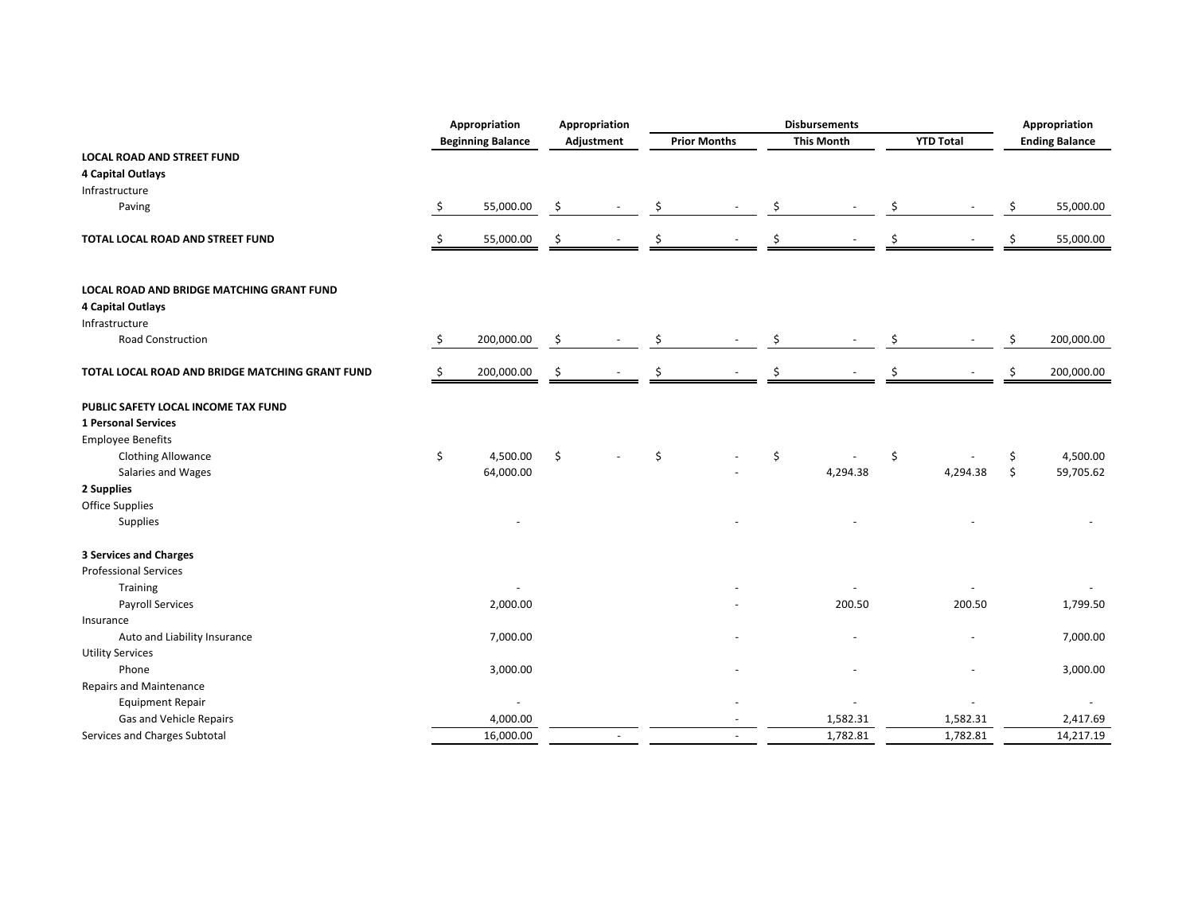|                                                 |    | Appropriation<br>Appropriation |    |            | <b>Disbursements</b> |                     |    |                   |    |                  | Appropriation |                       |  |
|-------------------------------------------------|----|--------------------------------|----|------------|----------------------|---------------------|----|-------------------|----|------------------|---------------|-----------------------|--|
|                                                 |    | <b>Beginning Balance</b>       |    | Adjustment |                      | <b>Prior Months</b> |    | <b>This Month</b> |    | <b>YTD Total</b> |               | <b>Ending Balance</b> |  |
| <b>LOCAL ROAD AND STREET FUND</b>               |    |                                |    |            |                      |                     |    |                   |    |                  |               |                       |  |
| 4 Capital Outlays                               |    |                                |    |            |                      |                     |    |                   |    |                  |               |                       |  |
| Infrastructure                                  |    |                                |    |            |                      |                     |    |                   |    |                  |               |                       |  |
| Paving                                          | \$ | 55,000.00                      | \$ |            | \$                   |                     | \$ |                   | \$ |                  | \$            | 55,000.00             |  |
| TOTAL LOCAL ROAD AND STREET FUND                | S  | 55,000.00                      | \$ |            | Ś                    |                     | Ś  |                   | \$ |                  | \$            | 55,000.00             |  |
| LOCAL ROAD AND BRIDGE MATCHING GRANT FUND       |    |                                |    |            |                      |                     |    |                   |    |                  |               |                       |  |
| 4 Capital Outlays                               |    |                                |    |            |                      |                     |    |                   |    |                  |               |                       |  |
| Infrastructure                                  |    |                                |    |            |                      |                     |    |                   |    |                  |               |                       |  |
| <b>Road Construction</b>                        | \$ | 200,000.00                     | \$ |            | \$                   |                     | Ś  |                   | \$ |                  | \$            | 200,000.00            |  |
| TOTAL LOCAL ROAD AND BRIDGE MATCHING GRANT FUND | Ŝ  | 200,000.00                     | \$ |            | Ś                    |                     | Ś  |                   | \$ |                  | Ś.            | 200,000.00            |  |
| PUBLIC SAFETY LOCAL INCOME TAX FUND             |    |                                |    |            |                      |                     |    |                   |    |                  |               |                       |  |
| 1 Personal Services                             |    |                                |    |            |                      |                     |    |                   |    |                  |               |                       |  |
| <b>Employee Benefits</b>                        |    |                                |    |            |                      |                     |    |                   |    |                  |               |                       |  |
| <b>Clothing Allowance</b>                       | \$ | 4,500.00                       | \$ |            | \$                   |                     | Ś  |                   | \$ |                  | \$            | 4,500.00              |  |
| Salaries and Wages                              |    | 64,000.00                      |    |            |                      |                     |    | 4,294.38          |    | 4,294.38         | \$            | 59,705.62             |  |
| 2 Supplies                                      |    |                                |    |            |                      |                     |    |                   |    |                  |               |                       |  |
| Office Supplies                                 |    |                                |    |            |                      |                     |    |                   |    |                  |               |                       |  |
| Supplies                                        |    |                                |    |            |                      |                     |    |                   |    |                  |               |                       |  |
| <b>3 Services and Charges</b>                   |    |                                |    |            |                      |                     |    |                   |    |                  |               |                       |  |
| <b>Professional Services</b>                    |    |                                |    |            |                      |                     |    |                   |    |                  |               |                       |  |
| Training                                        |    |                                |    |            |                      |                     |    |                   |    |                  |               |                       |  |
| Payroll Services                                |    | 2,000.00                       |    |            |                      |                     |    | 200.50            |    | 200.50           |               | 1,799.50              |  |
| Insurance                                       |    |                                |    |            |                      |                     |    |                   |    |                  |               |                       |  |
| Auto and Liability Insurance                    |    | 7,000.00                       |    |            |                      |                     |    |                   |    |                  |               | 7,000.00              |  |
| <b>Utility Services</b>                         |    |                                |    |            |                      |                     |    |                   |    |                  |               |                       |  |
| Phone                                           |    | 3,000.00                       |    |            |                      |                     |    |                   |    |                  |               | 3,000.00              |  |
| <b>Repairs and Maintenance</b>                  |    |                                |    |            |                      |                     |    |                   |    |                  |               |                       |  |
| <b>Equipment Repair</b>                         |    | $\overline{\phantom{a}}$       |    |            |                      |                     |    |                   |    |                  |               |                       |  |
| Gas and Vehicle Repairs                         |    | 4,000.00                       |    |            |                      |                     |    | 1,582.31          |    | 1,582.31         |               | 2,417.69              |  |
| Services and Charges Subtotal                   |    | 16,000.00                      |    |            |                      |                     |    | 1,782.81          |    | 1,782.81         |               | 14,217.19             |  |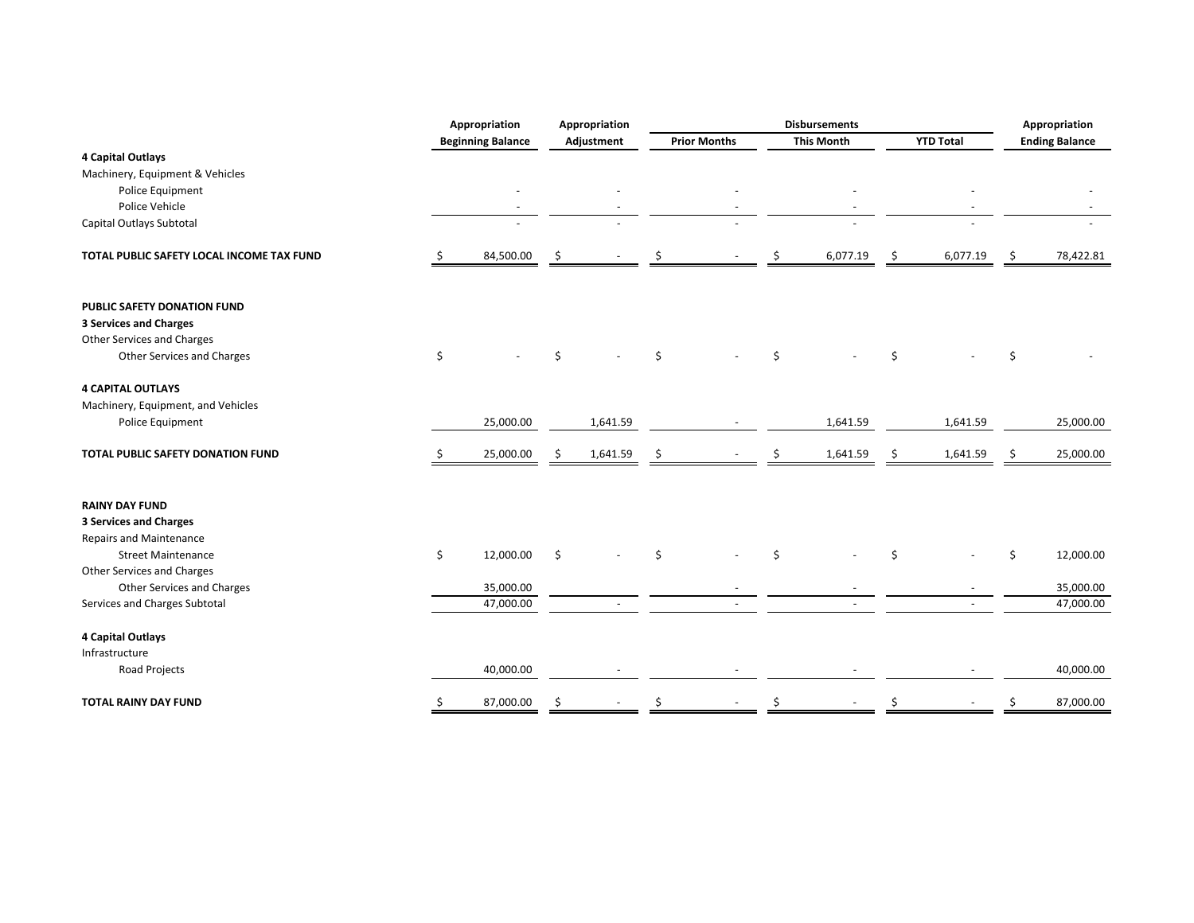|                                           | Appropriation |                          | Appropriation |            | <b>Disbursements</b> |                     |    |                   |    |                  | Appropriation |                       |  |
|-------------------------------------------|---------------|--------------------------|---------------|------------|----------------------|---------------------|----|-------------------|----|------------------|---------------|-----------------------|--|
|                                           |               | <b>Beginning Balance</b> |               | Adjustment |                      | <b>Prior Months</b> |    | <b>This Month</b> |    | <b>YTD Total</b> |               | <b>Ending Balance</b> |  |
| 4 Capital Outlays                         |               |                          |               |            |                      |                     |    |                   |    |                  |               |                       |  |
| Machinery, Equipment & Vehicles           |               |                          |               |            |                      |                     |    |                   |    |                  |               |                       |  |
| Police Equipment                          |               |                          |               |            |                      |                     |    |                   |    |                  |               |                       |  |
| Police Vehicle                            |               |                          |               |            |                      |                     |    |                   |    |                  |               |                       |  |
| Capital Outlays Subtotal                  |               |                          |               |            |                      |                     |    |                   |    |                  |               |                       |  |
| TOTAL PUBLIC SAFETY LOCAL INCOME TAX FUND |               | 84,500.00                | .\$           |            |                      |                     | \$ | 6,077.19          | \$ | 6,077.19         | \$            | 78,422.81             |  |
| PUBLIC SAFETY DONATION FUND               |               |                          |               |            |                      |                     |    |                   |    |                  |               |                       |  |
| <b>3 Services and Charges</b>             |               |                          |               |            |                      |                     |    |                   |    |                  |               |                       |  |
| Other Services and Charges                |               |                          |               |            |                      |                     |    |                   |    |                  |               |                       |  |
| Other Services and Charges                | \$            |                          | $\zeta$       |            | \$                   |                     | \$ |                   | \$ |                  | \$            |                       |  |
| <b>4 CAPITAL OUTLAYS</b>                  |               |                          |               |            |                      |                     |    |                   |    |                  |               |                       |  |
| Machinery, Equipment, and Vehicles        |               |                          |               |            |                      |                     |    |                   |    |                  |               |                       |  |
| Police Equipment                          |               | 25,000.00                |               | 1,641.59   |                      |                     |    | 1,641.59          |    | 1,641.59         |               | 25,000.00             |  |
| TOTAL PUBLIC SAFETY DONATION FUND         |               | 25,000.00                | Ŝ             | 1,641.59   | Ś                    |                     |    | 1,641.59          | S  | 1,641.59         | S             | 25,000.00             |  |
| <b>RAINY DAY FUND</b>                     |               |                          |               |            |                      |                     |    |                   |    |                  |               |                       |  |
| <b>3 Services and Charges</b>             |               |                          |               |            |                      |                     |    |                   |    |                  |               |                       |  |
| Repairs and Maintenance                   |               |                          |               |            |                      |                     |    |                   |    |                  |               |                       |  |
| <b>Street Maintenance</b>                 | \$            | 12,000.00                | Ŝ.            |            | \$                   |                     | Ś. |                   | Ś  |                  | \$            | 12,000.00             |  |
| Other Services and Charges                |               |                          |               |            |                      |                     |    |                   |    |                  |               |                       |  |
| Other Services and Charges                |               | 35,000.00                |               |            |                      |                     |    |                   |    |                  |               | 35,000.00             |  |
| Services and Charges Subtotal             |               | 47,000.00                |               |            |                      |                     |    |                   |    |                  |               | 47,000.00             |  |
| 4 Capital Outlays                         |               |                          |               |            |                      |                     |    |                   |    |                  |               |                       |  |
| Infrastructure                            |               |                          |               |            |                      |                     |    |                   |    |                  |               |                       |  |
| Road Projects                             |               | 40,000.00                |               |            |                      |                     |    |                   |    |                  |               | 40,000.00             |  |
| <b>TOTAL RAINY DAY FUND</b>               | \$            | 87,000.00                | \$            |            | Ś                    |                     | Ś  |                   | \$ |                  | \$            | 87,000.00             |  |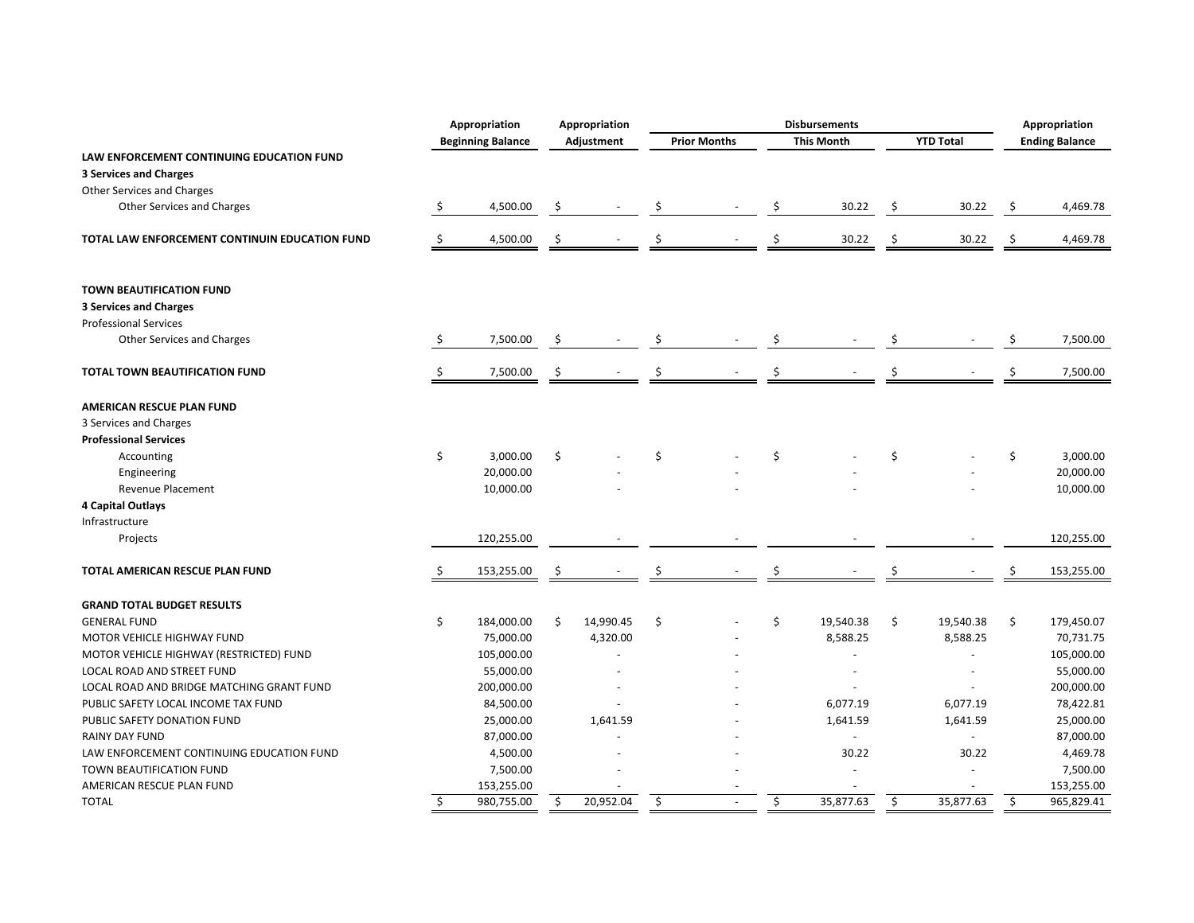|                                                |    | Appropriation<br>Appropriation |     | <b>Disbursements</b> |    |                     |    |                   |    | Appropriation        |    |                       |
|------------------------------------------------|----|--------------------------------|-----|----------------------|----|---------------------|----|-------------------|----|----------------------|----|-----------------------|
|                                                |    | <b>Beginning Balance</b>       |     | Adjustment           |    | <b>Prior Months</b> |    | <b>This Month</b> |    | <b>YTD Total</b>     |    | <b>Ending Balance</b> |
| LAW ENFORCEMENT CONTINUING EDUCATION FUND      |    |                                |     |                      |    |                     |    |                   |    |                      |    |                       |
| <b>3 Services and Charges</b>                  |    |                                |     |                      |    |                     |    |                   |    |                      |    |                       |
| <b>Other Services and Charges</b>              |    |                                |     |                      |    |                     |    |                   |    |                      |    |                       |
| Other Services and Charges                     | \$ | 4,500.00                       | -\$ |                      | Ŝ  |                     | Ś  | 30.22             | \$ | 30.22                | \$ | 4,469.78              |
| TOTAL LAW ENFORCEMENT CONTINUIN EDUCATION FUND | \$ | 4,500.00                       | \$  |                      | Ś  |                     | Ś  | 30.22             | \$ | 30.22                | \$ | 4,469.78              |
| <b>TOWN BEAUTIFICATION FUND</b>                |    |                                |     |                      |    |                     |    |                   |    |                      |    |                       |
| <b>3 Services and Charges</b>                  |    |                                |     |                      |    |                     |    |                   |    |                      |    |                       |
| <b>Professional Services</b>                   |    |                                |     |                      |    |                     |    |                   |    |                      |    |                       |
| Other Services and Charges                     | \$ | 7,500.00                       | -\$ |                      | \$ |                     | Ś  |                   | Ŝ  |                      | \$ | 7,500.00              |
| TOTAL TOWN BEAUTIFICATION FUND                 | S  | 7,500.00                       | \$  |                      | Ś  |                     | Ś  |                   |    |                      | Ś  | 7,500.00              |
| AMERICAN RESCUE PLAN FUND                      |    |                                |     |                      |    |                     |    |                   |    |                      |    |                       |
| 3 Services and Charges                         |    |                                |     |                      |    |                     |    |                   |    |                      |    |                       |
| <b>Professional Services</b>                   |    |                                |     |                      |    |                     |    |                   |    |                      |    |                       |
| Accounting                                     | \$ | 3,000.00                       | \$  |                      | \$ |                     | \$ |                   | \$ |                      | \$ | 3,000.00              |
| Engineering                                    |    | 20,000.00                      |     |                      |    |                     |    |                   |    |                      |    | 20,000.00             |
| <b>Revenue Placement</b>                       |    | 10,000.00                      |     |                      |    |                     |    |                   |    |                      |    | 10,000.00             |
| <b>4 Capital Outlays</b>                       |    |                                |     |                      |    |                     |    |                   |    |                      |    |                       |
| Infrastructure                                 |    |                                |     |                      |    |                     |    |                   |    |                      |    |                       |
| Projects                                       |    | 120,255.00                     |     |                      |    |                     |    |                   |    |                      |    | 120,255.00            |
| TOTAL AMERICAN RESCUE PLAN FUND                |    | 153,255.00                     |     |                      |    |                     | Ś  |                   |    |                      |    | 153,255.00            |
| <b>GRAND TOTAL BUDGET RESULTS</b>              |    |                                |     |                      |    |                     |    |                   |    |                      |    |                       |
| <b>GENERAL FUND</b>                            | \$ | 184,000.00                     | Ś.  | 14,990.45            | \$ |                     | \$ | 19,540.38         | \$ | 19,540.38            | \$ | 179,450.07            |
| MOTOR VEHICLE HIGHWAY FUND                     |    | 75,000.00                      |     | 4,320.00             |    |                     |    | 8,588.25          |    | 8,588.25             |    | 70,731.75             |
| MOTOR VEHICLE HIGHWAY (RESTRICTED) FUND        |    | 105,000.00                     |     |                      |    |                     |    |                   |    | $\ddot{\phantom{1}}$ |    | 105,000.00            |
| LOCAL ROAD AND STREET FUND                     |    | 55,000.00                      |     |                      |    |                     |    | ÷.                |    | ÷.                   |    | 55,000.00             |
| LOCAL ROAD AND BRIDGE MATCHING GRANT FUND      |    | 200,000.00                     |     |                      |    |                     |    |                   |    |                      |    | 200,000.00            |
| PUBLIC SAFETY LOCAL INCOME TAX FUND            |    | 84,500.00                      |     |                      |    |                     |    | 6,077.19          |    | 6,077.19             |    | 78,422.81             |
| PUBLIC SAFETY DONATION FUND                    |    | 25,000.00                      |     | 1,641.59             |    |                     |    | 1,641.59          |    | 1,641.59             |    | 25,000.00             |
| <b>RAINY DAY FUND</b>                          |    | 87,000.00                      |     |                      |    |                     |    |                   |    | $\blacksquare$       |    | 87,000.00             |
| LAW ENFORCEMENT CONTINUING EDUCATION FUND      |    | 4,500.00                       |     |                      |    |                     |    | 30.22             |    | 30.22                |    | 4,469.78              |
| TOWN BEAUTIFICATION FUND                       |    | 7,500.00                       |     |                      |    |                     |    |                   |    |                      |    | 7,500.00              |
| AMERICAN RESCUE PLAN FUND                      |    | 153,255.00                     |     |                      |    |                     |    |                   |    |                      |    | 153,255.00            |
| <b>TOTAL</b>                                   | Ŝ. | 980,755.00                     | \$  | 20,952.04            | \$ |                     | \$ | 35,877.63         | \$ | 35,877.63            | \$ | 965,829.41            |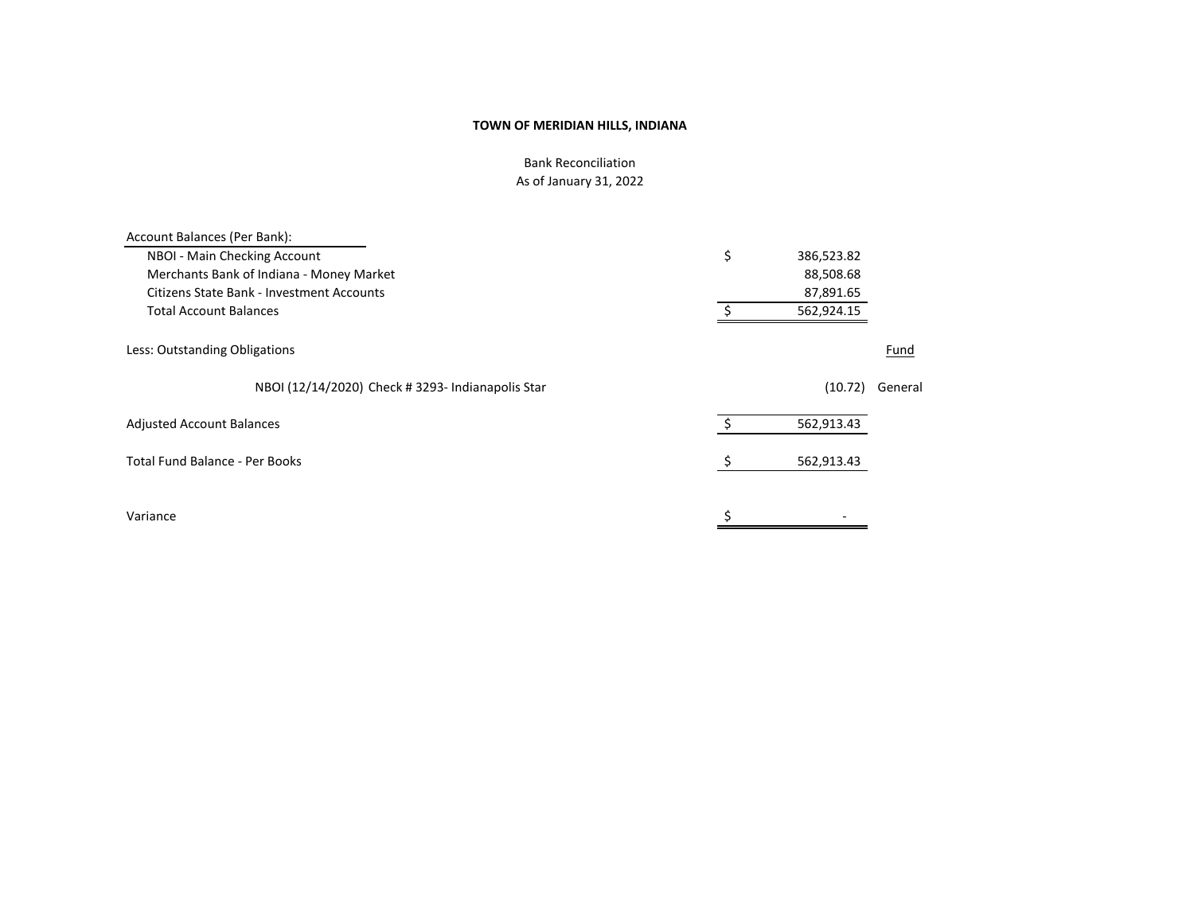Bank Reconciliation As of January 31, 2022

| Account Balances (Per Bank):                      |                  |        |
|---------------------------------------------------|------------------|--------|
| NBOI - Main Checking Account                      | \$<br>386,523.82 |        |
| Merchants Bank of Indiana - Money Market          | 88,508.68        |        |
| Citizens State Bank - Investment Accounts         | 87,891.65        |        |
| <b>Total Account Balances</b>                     | 562,924.15       |        |
| Less: Outstanding Obligations                     |                  | Fund   |
| NBOI (12/14/2020) Check # 3293- Indianapolis Star | (10.72)          | Genera |
| <b>Adjusted Account Balances</b>                  | 562,913.43       |        |
| Total Fund Balance - Per Books                    | 562,913.43       |        |
| Variance                                          |                  |        |
|                                                   |                  |        |